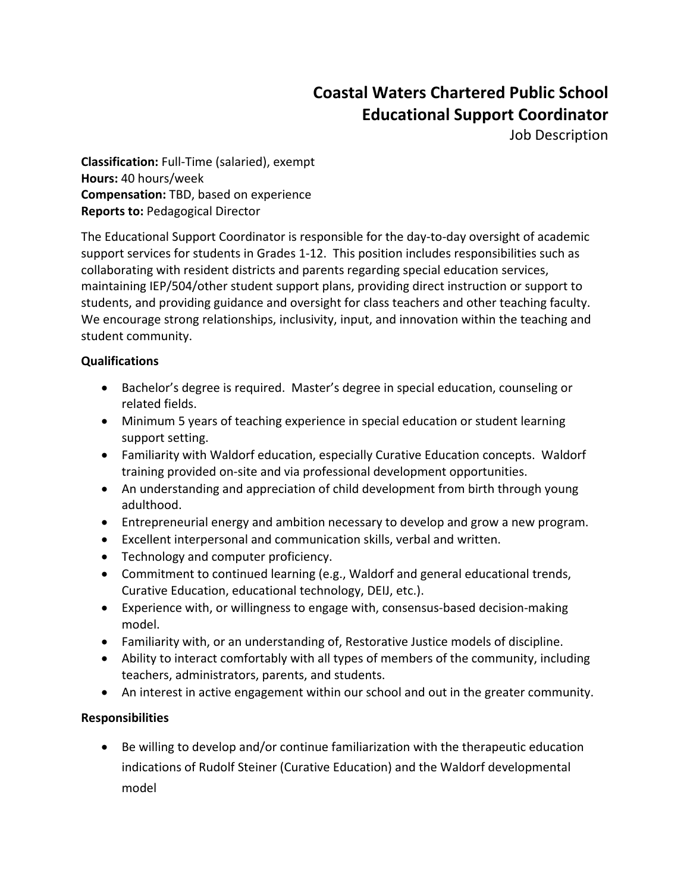## **Coastal Waters Chartered Public School Educational Support Coordinator**

Job Description

**Classification:** Full-Time (salaried), exempt **Hours:** 40 hours/week **Compensation:** TBD, based on experience **Reports to:** Pedagogical Director

The Educational Support Coordinator is responsible for the day-to-day oversight of academic support services for students in Grades 1-12. This position includes responsibilities such as collaborating with resident districts and parents regarding special education services, maintaining IEP/504/other student support plans, providing direct instruction or support to students, and providing guidance and oversight for class teachers and other teaching faculty. We encourage strong relationships, inclusivity, input, and innovation within the teaching and student community.

## **Qualifications**

- Bachelor's degree is required. Master's degree in special education, counseling or related fields.
- Minimum 5 years of teaching experience in special education or student learning support setting.
- Familiarity with Waldorf education, especially Curative Education concepts. Waldorf training provided on-site and via professional development opportunities.
- An understanding and appreciation of child development from birth through young adulthood.
- Entrepreneurial energy and ambition necessary to develop and grow a new program.
- Excellent interpersonal and communication skills, verbal and written.
- Technology and computer proficiency.
- Commitment to continued learning (e.g., Waldorf and general educational trends, Curative Education, educational technology, DEIJ, etc.).
- Experience with, or willingness to engage with, consensus-based decision-making model.
- Familiarity with, or an understanding of, Restorative Justice models of discipline.
- Ability to interact comfortably with all types of members of the community, including teachers, administrators, parents, and students.
- An interest in active engagement within our school and out in the greater community.

## **Responsibilities**

• Be willing to develop and/or continue familiarization with the therapeutic education indications of Rudolf Steiner (Curative Education) and the Waldorf developmental model